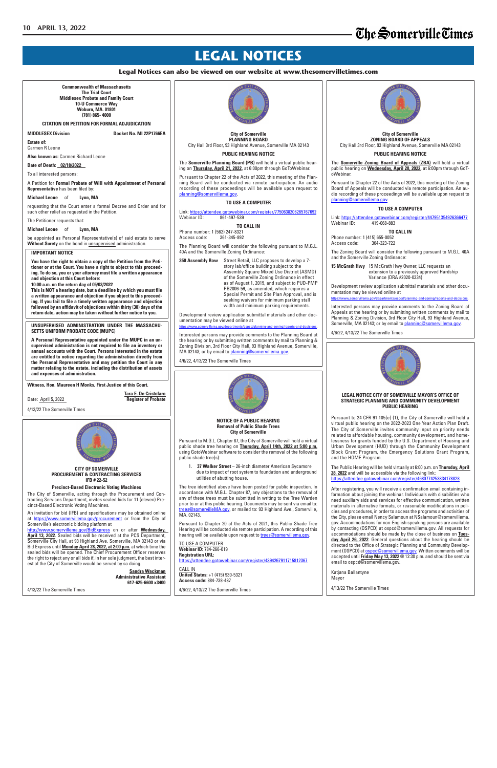# The Somerville Times

## **LEGAL NOTICES**

#### **Legal Notices can also be viewed on our website at www.thesomervilletimes.com**

**NOTICE OF A PUBLIC HEARING Removal of Public Shade Trees City of Somerville**

37 Walker Street - 26-inch diameter American Sycamore due to impact of root system to foundation and underground utilities of abutting house.

Pursuant to M.G.L. Chapter 87, the City of Somerville will hold a virtual public shade tree hearing on **Thursday, April 14th, 2022 at 5:00 p.m.** using GotoWebinar software to consider the removal of the following public shade tree(s):

Pursuant to Chapter 20 of the Acts of 2021, this Public Shade Tree Hearing will be conducted via remote participation. A recording of this hearing will be available upon request to **trees@somervillema.gov.** 

**TO USE A COMPUTER Webinar ID:** 784-266-019 **Registration URL:** https://attendee.gotowebinar.com/register/4394267911715812367

The tree identified above have been posted for public inspection. In accordance with M.G.L. Chapter 87, any objections to the removal of any of these trees must be submitted in writing to the Tree Warden prior to or at this public hearing. Documents may be sent via email to: trees@somervilleMA.gov, or mailed to: 93 Highland Ave., Somerville, MA. 02143.

Link: https://attendee.gotowebinar.com/register/447951354926366477<br>Webinar ID: 419-068-883 Webinar ID: 419-068-883

Interested persons may provide comments to the Zoning Board of Appeals at the hearing or by submitting written comments by mail to Planning & Zoning Division, 3rd Floor City Hall, 93 Highland Avenue, Somerville, MA 02143; or by email to planning@somervillema.gov.



**City of Somerville ZONING BOARD OF APPEALS** City Hall 3rd Floor, 93 Highland Avenue, Somerville MA 02143

#### **PUBLIC HEARING NOTICE**

The **Somerville Zoning Board of Appeals (ZBA)** will hold a virtual public hearing on **Wednesday, April 20, 2022**, at 6:00pm through GoToWebinar.

Pursuant to Chapter 22 of the Acts of 2022, this meeting of the Zoning Board of Appeals will be conducted via remote participation. An audio recording of these proceedings will be available upon request to planning@somervillema.gov.

#### **TO USE A COMPUTER**

#### **TO CALL IN**

Phone number: 1 (415) 655-0052 Access code: 364-323-722

The Zoning Board will consider the following pursuant to M.G.L. 40A and the Somerville Zoning Ordinance:

**15 McGrath Hwy** 15 McGrath Hwy Owner, LLC requests an extension to a previously approved Hardship Variance (DRA #2020-0334)

Development review application submittal materials and other documentation may be viewed online at

https://www.somervillema.gov/departments/ospcd/planning-and-zoning/reports-and-decisions.

**Tara E. De Cristofaro** Date: April 5, 2022

4/6/22, 4/13/22 The Somerville Times



**City of Somerville PLANNING BOARD** City Hall 3rd Floor, 93 Highland Avenue, Somerville MA 02143 **PUBLIC HEARING NOTICE**

The **Somerville Planning Board (PB)** will hold a virtual public hearing on **Thursday, April 21, 2022**, at 6:00pm through GoToWebinar.

Pursuant to Chapter 22 of the Acts of 2022, this meeting of the Planning Board will be conducted via remote participation. An audio recording of these proceedings will be available upon request to planning@somervillema.gov.

**TO USE A COMPUTER**

Link: https://attendee.gotowebinar.com/register/7750638206265767692 Webinar ID: 861-497-539

**TO CALL IN**

Phone number: 1 (562) 247-8321 Access code: 361-345-892

The Planning Board will consider the following pursuant to M.G.L. 40A and the Somerville Zoning Ordinance:

**350 Assembly Row** Street Retail, LLC proposes to develop a 7 story lab/office building subject to the Assembly Square Mixed Use District (ASMD) of the Somerville Zoning Ordinance in effect as of August 1, 2019, and subject to PUD-PMP PB2006-59, as amended, which requires a Special Permit and Site Plan Approval, and is seeking waivers for minimum parking stall width and minimum parking requirements.

Development review application submittal materials and other documentation may be viewed online at

https://www.somervillema.gov/departments/ospcd/planning-and-zoning/reports-and-decisions.

Interested persons may provide comments to the Planning Board at the hearing or by submitting written comments by mail to Planning & Zoning Division, 3rd Floor City Hall, 93 Highland Avenue, Somerville, MA 02143; or by email to planning@somervillema.gov.

4/6/22, 4/13/22 The Somerville Times



**Commonwealth of Massachusetts The Trial Court Middlesex Probate and Family Court 10-U Commerce Way Woburn, MA. 01801 (781) 865- 4000**

**CITATION ON PETITION FOR FORMAL ADJUDICATION**

| est of the Gity of Soffield ville would be served by So dollig.<br>Sandra Wackman<br><b>Administrative Assistant</b><br>617-625-6600 x3400 | <b>CALL IN</b><br><b>United States:</b> $+1$ (415) 930-5321<br><b>Access code: 884-738-487</b> | Katiana Ballantvne<br>Mayor  |
|--------------------------------------------------------------------------------------------------------------------------------------------|------------------------------------------------------------------------------------------------|------------------------------|
| 4/13/22 The Somerville Times                                                                                                               | 4/6/22, 4/13/22 The Somerville Times                                                           | 4/13/22 The Somerville Times |

**MIDDLESEX Division Docket No. MI 22P1766EA**

**Estate of:** Carmen R Leone

**Also known as:** Carmen Richard Leone

**Date of Death: 02/18/2022** 

To all interested persons:

A Petition for **Formal Probate of Will with Appointment of Personal Representative** has been filed by:

**Michael Leone** of **Lynn, MA**

requesting that the Court enter a formal Decree and Order and for such other relief as requested in the Petition.

The Petitioner requests that:

**Michael Leone** of **Lynn, MA**

be appointed as Personal Representative(s) of said estate to serve **Without Surety** on the bond in unsupervised administration.

**Witness, Hon. Maureen H Monks, First Justice of this Court.**

4/13/22 The Somerville Times



#### **IMPORTANT NOTICE**

**You have the right to obtain a copy of the Petition from the Petitioner or at the Court. You have a right to object to this proceeding. To do so, you or your attorney must file a written appearance and objection at this Court before:**

**10:00 a.m. on the return day of 05/03/2022**

**This is NOT a hearing date, but a deadline by which you must file a written appearance and objection if you object to this proceeding. If you fail to file a timely written appearance and objection followed by an affidavit of objections within thirty (30) days of the return date, action may be taken without further notice to you.**

#### **UNSUPERVISED ADMINISTRATION UNDER THE MASSACHU-SETTS UNIFORM PROBATE CODE (MUPC)**

**A Personal Representative appointed under the MUPC in an unsupervised administration is not required to file an inventory or annual accounts with the Court. Persons interested in the estate are entitled to notice regarding the administration directly from the Personal Representative and may petition the Court in any matter relating to the estate, including the distribution of assets and expenses of administration.**

#### **CITY OF SOMERVILLE PROCUREMENT & CONTRACTING SERVICES IFB # 22-52**

#### **Precinct‐Based Electronic Voting Machines**

The City of Somerville, acting through the Procurement and Contracting Services Department, invites sealed bids for 11 (eleven) Precinct-Based Electronic Voting Machines.

An invitation for bid (IFB) and specifications may be obtained online at https://www.somervillema.gov/procurement or from the City of Somerville's electronic bidding platform at

http://www.somervillema.gov/BidExpress on or after **Wednesday, April 13, 2022**. Sealed bids will be received at the PCS Department, Somerville City Hall, at 93 Highland Ave. Somerville, MA 02143 or via Bid Express until **Monday April 28, 2022, at 2:00 p.m.** at which time the sealed bids will be opened. The Chief Procurement Officer reserves the right to reject any or all bids if, in her sole judgment, the best interest of the City of Somerville would be served by so doing.



#### **LEGAL NOTICE CITY OF SOMERVILLE MAYOR'S OFFICE OF STRATEGIC PLANNING AND COMMUNITY DEVELOPMENT PUBLIC HEARING**

Pursuant to 24 CFR 91.105(e) (1), the City of Somerville will hold a virtual public hearing on the 2022-2023 One Year Action Plan Draft. The City of Somerville invites community input on priority needs related to affordable housing, community development, and homelessness for grants funded by the U.S. Department of Housing and Urban Development (HUD) through the Community Development Block Grant Program, the Emergency Solutions Grant Program, and the HOME Program.

#### The Public Hearing will be held virtually at 6:00 p.m. on **Thursday, April**  28, 2022 and will be accessible via the following link: https://attendee.gotowebinar.com/register/4680774253834178828

After registering, you will receive a confirmation email containing information about joining the webinar. Individuals with disabilities who need auxiliary aids and services for effective communication, written materials in alternative formats, or reasonable modifications in policies and procedures, in order to access the programs and activities of the City, please email Nency Salamoun at NSalamoun@somervillema. gov. Accommodations for non-English speaking persons are available by contacting (OSPCD) at ospcd@somervillema.gov. All requests for accommodations should be made by the close of business on **Tuesday April 26, 2022**. General questions about the hearing should be directed to the Office of Strategic Planning and Community Development (OSPCD) at *ospcd@somervillema.gov*. Written comments will be accepted until **Friday May 13, 2022** @ 12:30 p.m. and should be sent via email to ospcd@somervillema.gov.